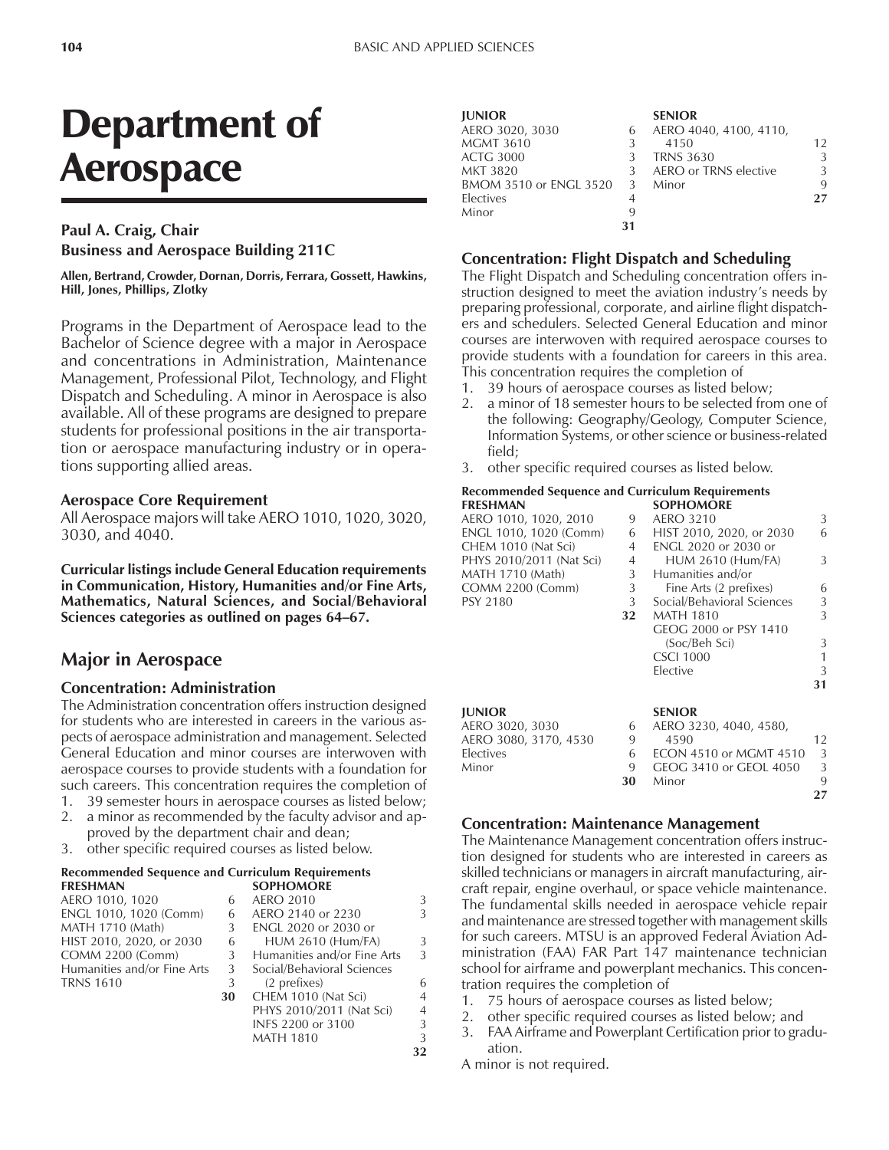# Department of Aerospace

## **Paul A. Craig, Chair Business and Aerospace Building 211C**

**Allen, Bertrand, Crowder, Dornan, Dorris, Ferrara, Gossett, Hawkins, Hill, Jones, Phillips, Zlotky**

Programs in the Department of Aerospace lead to the Bachelor of Science degree with a major in Aerospace and concentrations in Administration, Maintenance Management, Professional Pilot, Technology, and Flight Dispatch and Scheduling. A minor in Aerospace is also available. All of these programs are designed to prepare students for professional positions in the air transportation or aerospace manufacturing industry or in operations supporting allied areas.

#### **Aerospace Core Requirement**

All Aerospace majors will take AERO 1010, 1020, 3020, 3030, and 4040.

**Curricular listings include General Education requirements in Communication, History, Humanities and/or Fine Arts, Mathematics, Natural Sciences, and Social/Behavioral** Sciences categories as outlined on pages 64–67.

## **Major in Aerospace**

#### **Concentration: Administration**

The Administration concentration offers instruction designed for students who are interested in careers in the various aspects of aerospace administration and management. Selected General Education and minor courses are interwoven with aerospace courses to provide students with a foundation for such careers. This concentration requires the completion of

- 1. 39 semester hours in aerospace courses as listed below;
- 2. a minor as recommended by the faculty advisor and approved by the department chair and dean;
- 3. other specific required courses as listed below.

#### **Recommended Sequence and Curriculum Requirements FRESHMAN SOPHOMORE**

| AERO 1010, 1020             |    | <b>AERO 2010</b>            | 3              |
|-----------------------------|----|-----------------------------|----------------|
| ENGL 1010, 1020 (Comm)      | 6  | AERO 2140 or 2230           | 3              |
| <b>MATH 1710 (Math)</b>     |    | ENGL 2020 or 2030 or        |                |
| HIST 2010, 2020, or 2030    | 6  | <b>HUM 2610 (Hum/FA)</b>    | 3              |
| <b>COMM 2200 (Comm)</b>     | 3  | Humanities and/or Fine Arts | 3              |
| Humanities and/or Fine Arts | 3  | Social/Behavioral Sciences  |                |
| <b>TRNS 1610</b>            | 3  | (2 prefixes)                | 6              |
|                             | 30 | CHEM 1010 (Nat Sci)         | $\overline{4}$ |
|                             |    | PHYS 2010/2011 (Nat Sci)    | $\overline{4}$ |
|                             |    | INFS 2200 or 3100           | 3              |
|                             |    | MATH 1810                   | ς              |

**MATH 1810** 

| <b>JUNIOR</b>            |    | <b>SENIOR</b>          |    |
|--------------------------|----|------------------------|----|
| AERO 3020, 3030          | 6  | AERO 4040, 4100, 4110, |    |
| <b>MGMT 3610</b>         |    | 4150                   | 12 |
| <b>ACTG 3000</b>         |    | <b>TRNS 3630</b>       | 3  |
| MKT 3820                 | 3  | AERO or TRNS elective  | 3  |
| BMOM 3510 or ENGL 3520 3 |    | Minor                  | 9  |
| Electives                |    |                        | 27 |
| Minor                    | q  |                        |    |
|                          | 31 |                        |    |

#### **Concentration: Flight Dispatch and Scheduling**

The Flight Dispatch and Scheduling concentration offers instruction designed to meet the aviation industry's needs by preparing professional, corporate, and airline flight dispatchers and schedulers. Selected General Education and minor courses are interwoven with required aerospace courses to provide students with a foundation for careers in this area. This concentration requires the completion of

- 1. 39 hours of aerospace courses as listed below;
- 2. a minor of 18 semester hours to be selected from one of the following: Geography/Geology, Computer Science, Information Systems, or other science or business-related field;
- 3. other specific required courses as listed below.

#### **Recommended Sequence and Curriculum Requirements SOPHOMORE**

|    | <sub>JULIU</sub> TURA         |    |
|----|-------------------------------|----|
| 9  | AERO 3210                     | 3  |
| 6  | HIST 2010, 2020, or 2030      | 6  |
| 4  | ENGL 2020 or 2030 or          |    |
| 4  | <b>HUM 2610 (Hum/FA)</b>      | 3  |
| 3  | Humanities and/or             |    |
| 3  | Fine Arts (2 prefixes)        | 6  |
| 3  | Social/Behavioral Sciences    | 3  |
| 32 | <b>MATH 1810</b>              | 3  |
|    | GEOG 2000 or PSY 1410         |    |
|    | (Soc/Beh Sci)                 | 3  |
|    | <b>CSCI 1000</b>              | 1  |
|    | Elective                      | 3  |
|    |                               | 31 |
|    | <b>SENIOR</b>                 |    |
| 6  | AERO 3230, 4040, 4580,        |    |
| 9  | 4590                          | 12 |
| 6  | <b>ECON 4510 or MGMT 4510</b> | 3  |
| 9  | GEOG 3410 or GEOL 4050        | 3  |
| 30 | Minor                         | 9  |
|    |                               | 27 |
|    |                               |    |

### **Concentration: Maintenance Management**

The Maintenance Management concentration offers instruction designed for students who are interested in careers as skilled technicians or managers in aircraft manufacturing, aircraft repair, engine overhaul, or space vehicle maintenance. The fundamental skills needed in aerospace vehicle repair and maintenance are stressed together with management skills for such careers. MTSU is an approved Federal Aviation Administration (FAA) FAR Part 147 maintenance technician school for airframe and powerplant mechanics. This concentration requires the completion of

- 1. 75 hours of aerospace courses as listed below;
- other specific required courses as listed below; and
- 3. FAA Airframe and Powerplant Certification prior to graduation.

A minor is not required.

**32**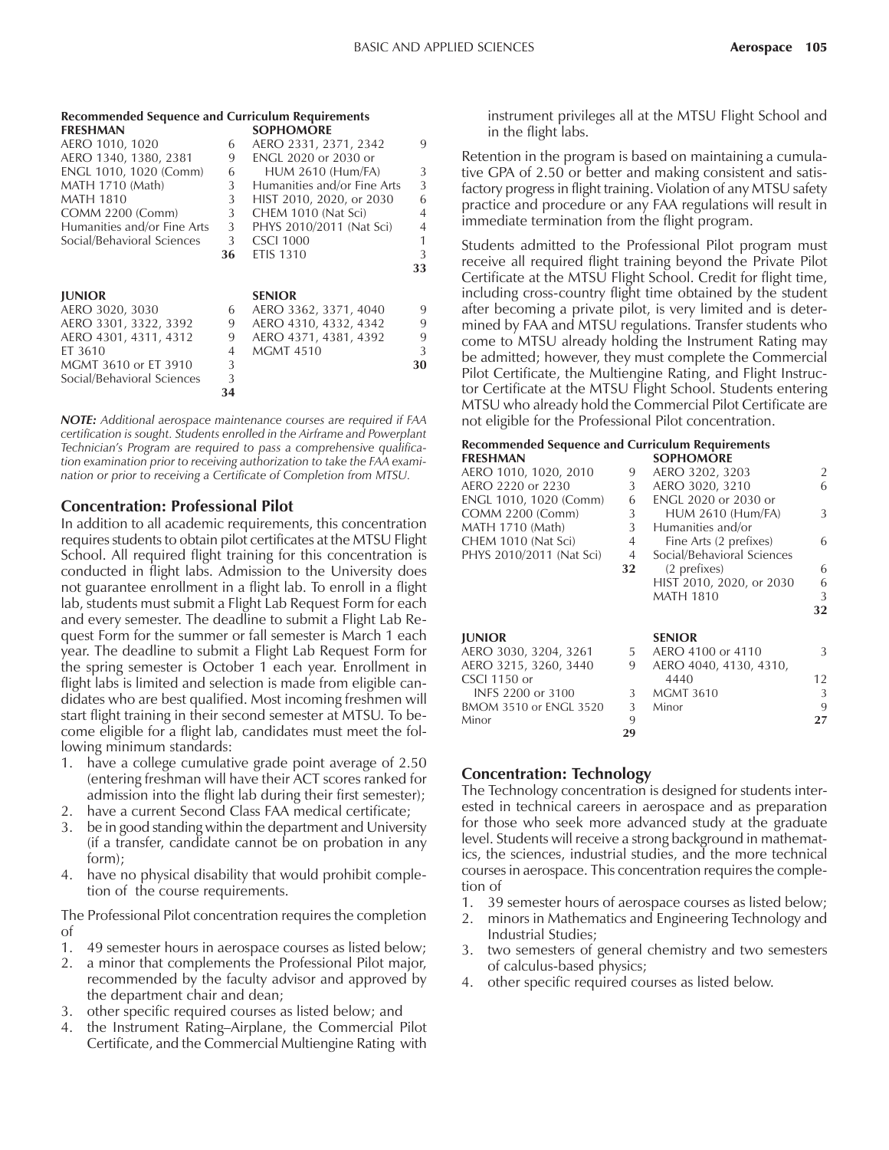| <b>Recommended Sequence and Curriculum Requirements</b> |                |                             |                |  |
|---------------------------------------------------------|----------------|-----------------------------|----------------|--|
| <b>FRESHMAN</b>                                         |                | <b>SOPHOMORE</b>            |                |  |
| AERO 1010, 1020                                         | 6              | AERO 2331, 2371, 2342       | 9              |  |
| AERO 1340, 1380, 2381                                   | 9              | <b>ENGL 2020 or 2030 or</b> |                |  |
| ENGL 1010, 1020 (Comm)                                  | 6              | <b>HUM 2610 (Hum/FA)</b>    | 3              |  |
| MATH 1710 (Math)                                        | 3 <sup>1</sup> | Humanities and/or Fine Arts | 3              |  |
| <b>MATH 1810</b>                                        | 3              | HIST 2010, 2020, or 2030    | 6              |  |
| <b>COMM 2200 (Comm)</b>                                 | 3              | CHEM 1010 (Nat Sci)         | $\overline{4}$ |  |
| Humanities and/or Fine Arts                             | 3              | PHYS 2010/2011 (Nat Sci)    | $\overline{4}$ |  |
| Social/Behavioral Sciences                              | $\mathbf{3}$   | <b>CSCI 1000</b>            | 1              |  |
|                                                         | 36             | <b>ETIS 1310</b>            | 3              |  |
|                                                         |                |                             | 33             |  |
|                                                         |                |                             |                |  |
| <b>JUNIOR</b>                                           |                | <b>SENIOR</b>               |                |  |
| AERO 3020, 3030                                         | 6              | AERO 3362, 3371, 4040       | 9              |  |
| AERO 3301, 3322, 3392                                   | 9              | AERO 4310, 4332, 4342       | 9              |  |
| AERO 4301, 4311, 4312                                   | 9              | AERO 4371, 4381, 4392       | 9              |  |
| ET 3610                                                 | 4              | <b>MGMT 4510</b>            | 3              |  |
| MGMT 3610 or ET 3910                                    | 3              |                             | 30             |  |
| Social/Behavioral Sciences                              | 3              |                             |                |  |
|                                                         | 34             |                             |                |  |

*NOTE: Additional aerospace maintenance courses are required if FAA certification is sought. Students enrolled in the Airframe and Powerplant Technicianís Program are required to pass a comprehensive qualification examination prior to receiving authorization to take the FAA examination or prior to receiving a Certificate of Completion from MTSU.*

#### **Concentration: Professional Pilot**

In addition to all academic requirements, this concentration requires students to obtain pilot certificates at the MTSU Flight School. All required flight training for this concentration is conducted in flight labs. Admission to the University does not guarantee enrollment in a flight lab. To enroll in a flight lab, students must submit a Flight Lab Request Form for each and every semester. The deadline to submit a Flight Lab Request Form for the summer or fall semester is March 1 each year. The deadline to submit a Flight Lab Request Form for the spring semester is October 1 each year. Enrollment in flight labs is limited and selection is made from eligible candidates who are best qualified. Most incoming freshmen will start flight training in their second semester at MTSU. To become eligible for a flight lab, candidates must meet the following minimum standards:

- 1. have a college cumulative grade point average of 2.50 (entering freshman will have their ACT scores ranked for admission into the flight lab during their first semester);
- 2. have a current Second Class FAA medical certificate;
- 3. be in good standing within the department and University (if a transfer, candidate cannot be on probation in any form);
- 4. have no physical disability that would prohibit completion of the course requirements.

The Professional Pilot concentration requires the completion of

- 1. 49 semester hours in aerospace courses as listed below;
- 2. a minor that complements the Professional Pilot major, recommended by the faculty advisor and approved by the department chair and dean;
- 3. other specific required courses as listed below; and
- 4. the Instrument Rating-Airplane, the Commercial Pilot Certificate, and the Commercial Multiengine Rating with

instrument privileges all at the MTSU Flight School and in the flight labs.

Retention in the program is based on maintaining a cumulative GPA of 2.50 or better and making consistent and satisfactory progress in flight training. Violation of any MTSU safety practice and procedure or any FAA regulations will result in immediate termination from the flight program.

Students admitted to the Professional Pilot program must receive all required flight training beyond the Private Pilot Certificate at the MTSU Flight School. Credit for flight time, including cross-country flight time obtained by the student after becoming a private pilot, is very limited and is determined by FAA and MTSU regulations. Transfer students who come to MTSU already holding the Instrument Rating may be admitted; however, they must complete the Commercial Pilot Certificate, the Multiengine Rating, and Flight Instructor Certificate at the MTSU Flight School. Students entering MTSU who already hold the Commercial Pilot Certificate are not eligible for the Professional Pilot concentration.

#### **Recommended Sequence and Curriculum Requirements SOPHOMORE**

| AERO 1010, 1020, 2010    | 9              | AERO 3202, 3203             | 2                 |
|--------------------------|----------------|-----------------------------|-------------------|
| AERO 2220 or 2230        | 3              | AERO 3020, 3210             | 6                 |
| ENGL 1010, 1020 (Comm)   | 6              | <b>ENGL 2020 or 2030 or</b> |                   |
| <b>COMM 2200 (Comm)</b>  | 3              | <b>HUM 2610 (Hum/FA)</b>    | 3                 |
| MATH 1710 (Math)         | 3              | Humanities and/or           |                   |
| CHEM 1010 (Nat Sci)      | $\overline{4}$ | Fine Arts (2 prefixes)      | 6                 |
| PHYS 2010/2011 (Nat Sci) | 4              | Social/Behavioral Sciences  |                   |
|                          | 32             | (2 prefixes)                | 6                 |
|                          |                | HIST 2010, 2020, or 2030    | 6                 |
|                          |                | <b>MATH 1810</b>            | 3                 |
|                          |                |                             | 32                |
| <b>IUNIOR</b>            |                | <b>SENIOR</b>               |                   |
| AERO 3030, 3204, 3261    | 5              | AERO 4100 or 4110           | 3                 |
| AERO 3215, 3260, 3440    | 9              | AERO 4040, 4130, 4310,      |                   |
| CSCI 1150 or             |                | 4440                        | $12 \overline{ }$ |
| INFS 2200 or 3100        | 3              | <b>MGMT 3610</b>            | 3                 |
| BMOM 3510 or ENGL 3520   | 3              | Minor                       | 9                 |
| Minor                    | 9              |                             | 27                |

### **Concentration: Technology**

The Technology concentration is designed for students interested in technical careers in aerospace and as preparation for those who seek more advanced study at the graduate level. Students will receive a strong background in mathematics, the sciences, industrial studies, and the more technical courses in aerospace. This concentration requires the completion of

**29**

- 1. 39 semester hours of aerospace courses as listed below;
- 2. minors in Mathematics and Engineering Technology and Industrial Studies;
- 3. two semesters of general chemistry and two semesters of calculus-based physics;
- 4. other specific required courses as listed below.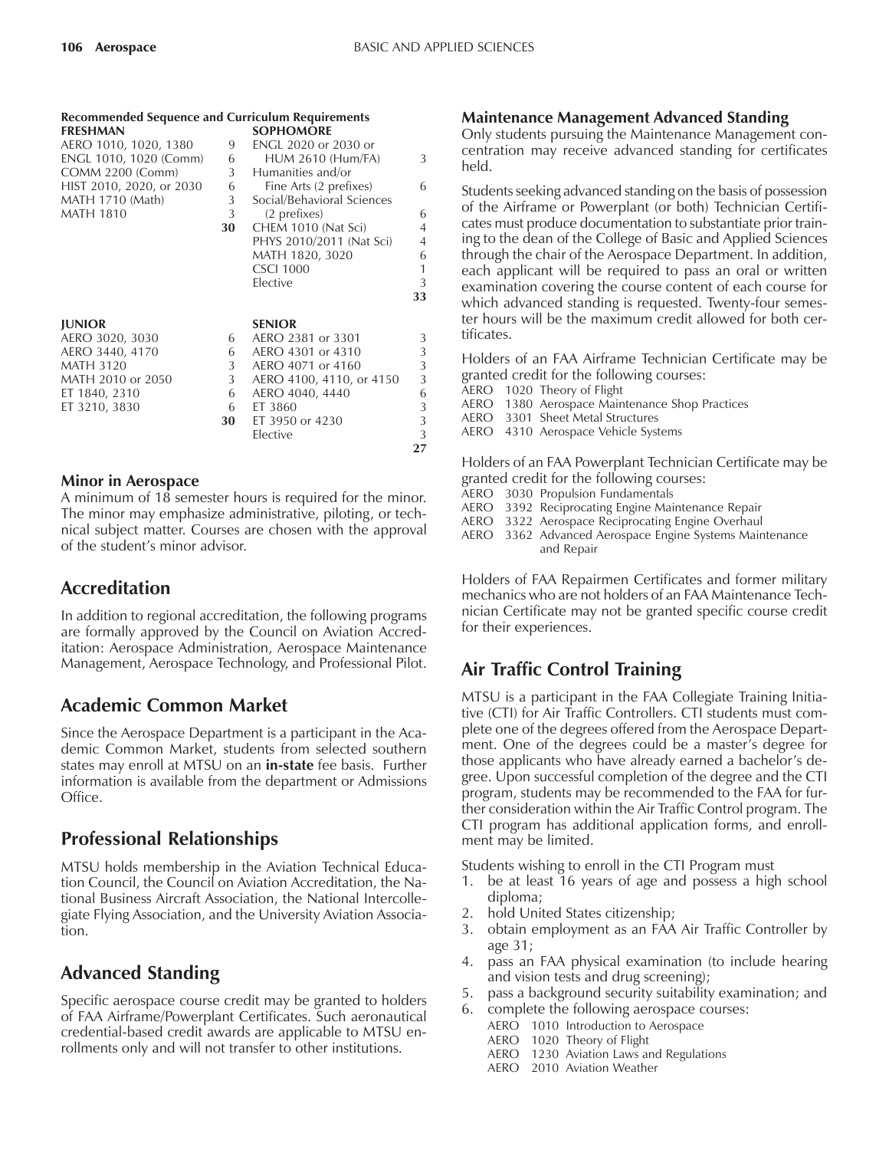| <b>Recommended Sequence and Curriculum Requirements</b> |    |                            |                |
|---------------------------------------------------------|----|----------------------------|----------------|
| <b>FRESHMAN</b>                                         |    | <b>SOPHOMORE</b>           |                |
| AERO 1010, 1020, 1380                                   | 9  | ENGL 2020 or 2030 or       |                |
| ENGL 1010, 1020 (Comm)                                  | 6  | <b>HUM 2610 (Hum/FA)</b>   | 3              |
| COMM 2200 (Comm)                                        | 3  | Humanities and/or          |                |
| HIST 2010, 2020, or 2030                                | 6  | Fine Arts (2 prefixes)     | 6              |
| MATH 1710 (Math)                                        | 3  | Social/Behavioral Sciences |                |
| <b>MATH 1810</b>                                        | 3  | (2 prefixes)               | 6              |
|                                                         | 30 | CHEM 1010 (Nat Sci)        | $\overline{4}$ |
|                                                         |    | PHYS 2010/2011 (Nat Sci)   | $\overline{4}$ |
|                                                         |    | MATH 1820, 3020            | 6              |
|                                                         |    | <b>CSCI 1000</b>           | $\mathbf{1}$   |
|                                                         |    | Elective                   | 3              |
|                                                         |    |                            | 33             |
|                                                         |    |                            |                |
| <b>JUNIOR</b>                                           |    | <b>SENIOR</b>              |                |
| AERO 3020, 3030                                         | 6  | AERO 2381 or 3301          | 3              |
| AERO 3440, 4170                                         | 6  | AERO 4301 or 4310          | 3              |
| <b>MATH 3120</b>                                        | 3  | AERO 4071 or 4160          | 3              |
| MATH 2010 or 2050                                       | 3  | AERO 4100, 4110, or 4150   | 3              |
| ET 1840, 2310                                           | 6  | AERO 4040, 4440            | 6              |
| ET 3210, 3830                                           | 6  | ET 3860                    | 3              |
|                                                         | 30 | ET 3950 or 4230            | 3              |
|                                                         |    | Elective                   | 3              |
|                                                         |    |                            | 27             |
|                                                         |    |                            |                |

### **Minor in Aerospace**

A minimum of 18 semester hours is required for the minor. The minor may emphasize administrative, piloting, or technical subject matter. Courses are chosen with the approval of the student's minor advisor.

# **Accreditation**

In addition to regional accreditation, the following programs are formally approved by the Council on Aviation Accreditation: Aerospace Administration, Aerospace Maintenance Management, Aerospace Technology, and Professional Pilot.

# **Academic Common Market**

Since the Aerospace Department is a participant in the Academic Common Market, students from selected southern states may enroll at MTSU on an **in-state** fee basis. Further information is available from the department or Admissions Office.

# **Professional Relationships**

MTSU holds membership in the Aviation Technical Education Council, the Council on Aviation Accreditation, the National Business Aircraft Association, the National Intercollegiate Flying Association, and the University Aviation Association.

# **Advanced Standing**

Specific aerospace course credit may be granted to holders of FAA Airframe/Powerplant Certificates. Such aeronautical credential-based credit awards are applicable to MTSU enrollments only and will not transfer to other institutions.

### **Maintenance Management Advanced Standing**

Only students pursuing the Maintenance Management concentration may receive advanced standing for certificates held.

Students seeking advanced standing on the basis of possession of the Airframe or Powerplant (or both) Technician Certificates must produce documentation to substantiate prior training to the dean of the College of Basic and Applied Sciences through the chair of the Aerospace Department. In addition, each applicant will be required to pass an oral or written examination covering the course content of each course for which advanced standing is requested. Twenty-four semester hours will be the maximum credit allowed for both certificates.

Holders of an FAA Airframe Technician Certificate may be granted credit for the following courses:

AERO 1020 Theory of Flight

AERO 1380 Aerospace Maintenance Shop Practices

AERO 3301 Sheet Metal Structures

AERO 4310 Aerospace Vehicle Systems

Holders of an FAA Powerplant Technician Certificate may be granted credit for the following courses:

- AERO 3030 Propulsion Fundamentals
- AERO 3392 Reciprocating Engine Maintenance Repair
- AERO 3322 Aerospace Reciprocating Engine Overhaul
- AERO 3362 Advanced Aerospace Engine Systems Maintenance and Repair

Holders of FAA Repairmen Certificates and former military mechanics who are not holders of an FAA Maintenance Technician Certificate may not be granted specific course credit for their experiences.

# **Air Traffic Control Training**

MTSU is a participant in the FAA Collegiate Training Initiative (CTI) for Air Traffic Controllers. CTI students must complete one of the degrees offered from the Aerospace Department. One of the degrees could be a master's degree for those applicants who have already earned a bachelor's degree. Upon successful completion of the degree and the CTI program, students may be recommended to the FAA for further consideration within the Air Traffic Control program. The CTI program has additional application forms, and enrollment may be limited.

Students wishing to enroll in the CTI Program must

- 1. be at least 16 years of age and possess a high school diploma;
- 2. hold United States citizenship;
- 3. obtain employment as an FAA Air Traffic Controller by age 31;
- 4. pass an FAA physical examination (to include hearing and vision tests and drug screening);
- 5. pass a background security suitability examination; and
- 6. complete the following aerospace courses:
	- AERO 1010 Introduction to Aerospace
	- AERO 1020 Theory of Flight
	- AERO 1230 Aviation Laws and Regulations
	- AERO 2010 Aviation Weather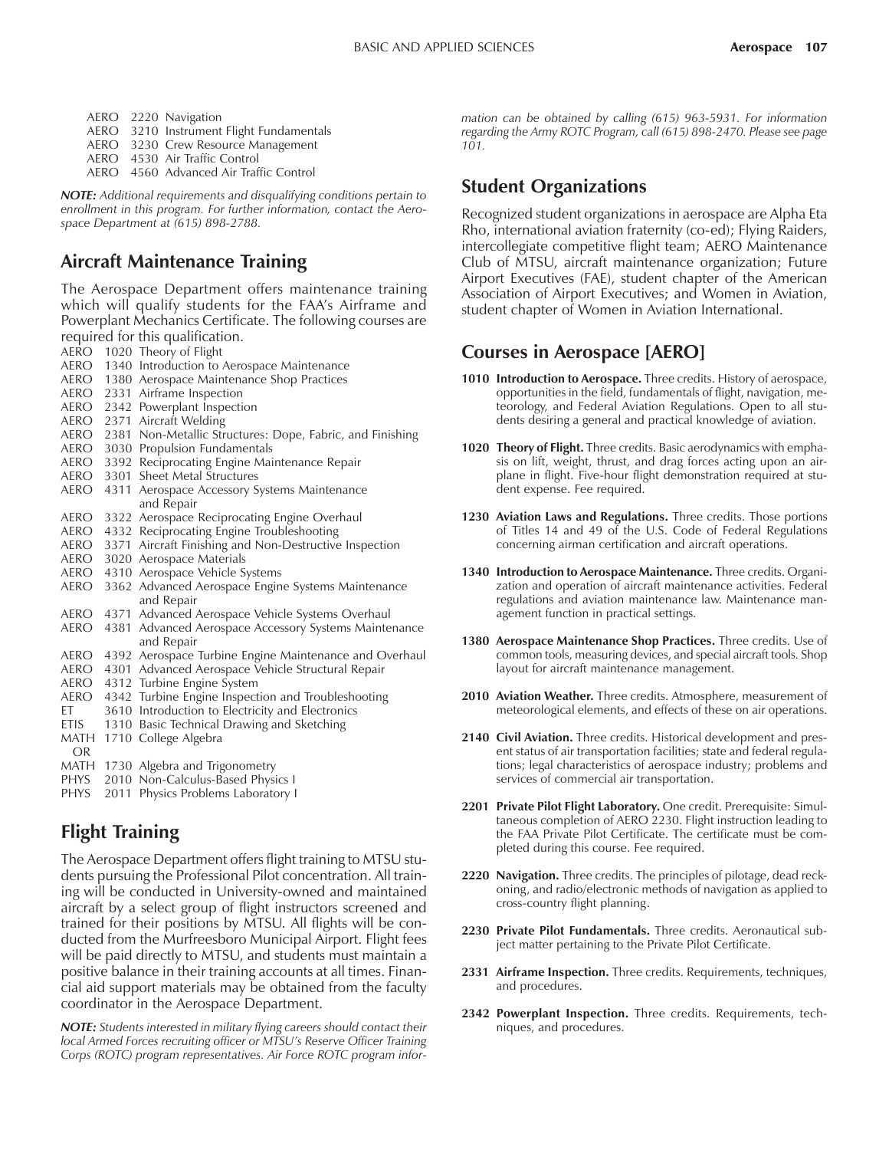- AERO 2220 Navigation AERO 3210 Instrument Flight Fundamentals
- AERO 3230 Crew Resource Management
- AERO 4530 Air Traffic Control
- AERO 4560 Advanced Air Traffic Control

*NOTE: Additional requirements and disqualifying conditions pertain to enrollment in this program. For further information, contact the Aerospace Department at (615) 898-2788.*

# **Aircraft Maintenance Training**

The Aerospace Department offers maintenance training which will qualify students for the FAA's Airframe and Powerplant Mechanics Certificate. The following courses are required for this qualification. AERO 1020 Theory of Flight

- AERO 1340 Introduction to Aerospace Maintenance
- AERO 1380 Aerospace Maintenance Shop Practices
- AERO 2331 Airframe Inspection
- AERO 2342 Powerplant Inspection
- AERO 2371 Aircraft Welding
- AERO 2381 Non-Metallic Structures: Dope, Fabric, and Finishing
- AERO 3030 Propulsion Fundamentals
- AERO 3392 Reciprocating Engine Maintenance Repair
- AERO 3301 Sheet Metal Structures
- AERO 4311 Aerospace Accessory Systems Maintenance and Repair
- AERO 3322 Aerospace Reciprocating Engine Overhaul
- AERO 4332 Reciprocating Engine Troubleshooting
- AERO 3371 Aircraft Finishing and Non-Destructive Inspection
- AERO 3020 Aerospace Materials
- AERO 4310 Aerospace Vehicle Systems
- AERO 3362 Advanced Aerospace Engine Systems Maintenance and Repair
- AERO 4371 Advanced Aerospace Vehicle Systems Overhaul
- AERO 4381 Advanced Aerospace Accessory Systems Maintenance and Repair
- AERO 4392 Aerospace Turbine Engine Maintenance and Overhaul
- AERO 4301 Advanced Aerospace Vehicle Structural Repair
- AERO 4312 Turbine Engine System
- AERO 4342 Turbine Engine Inspection and Troubleshooting
- ET 3610 Introduction to Electricity and Electronics
- ETIS 1310 Basic Technical Drawing and Sketching
- MATH 1710 College Algebra OR MATH 1730 Algebra and Trigonometry PHYS 2010 Non-Calculus-Based Physics I
- PHYS 2011 Physics Problems Laboratory I

# **Flight Training**

The Aerospace Department offers flight training to MTSU students pursuing the Professional Pilot concentration. All training will be conducted in University-owned and maintained aircraft by a select group of flight instructors screened and trained for their positions by MTSU. All flights will be conducted from the Murfreesboro Municipal Airport. Flight fees will be paid directly to MTSU, and students must maintain a positive balance in their training accounts at all times. Financial aid support materials may be obtained from the faculty coordinator in the Aerospace Department.

*NOTE: Students interested in military flying careers should contact their local Armed Forces recruiting officer or MTSUís Reserve Officer Training Corps (ROTC) program representatives. Air Force ROTC program infor-* *mation can be obtained by calling (615) 963-5931. For information regarding the Army ROTC Program, call (615) 898-2470. Please see page 101.*

# **Student Organizations**

Recognized student organizations in aerospace are Alpha Eta Rho, international aviation fraternity (co-ed); Flying Raiders, intercollegiate competitive flight team; AERO Maintenance Club of MTSU, aircraft maintenance organization; Future Airport Executives (FAE), student chapter of the American Association of Airport Executives; and Women in Aviation, student chapter of Women in Aviation International.

# **Courses in Aerospace [AERO]**

- **1010 Introduction to Aerospace.** Three credits. History of aerospace, opportunities in the field, fundamentals of flight, navigation, meteorology, and Federal Aviation Regulations. Open to all students desiring a general and practical knowledge of aviation.
- **1020 Theory of Flight.** Three credits. Basic aerodynamics with emphasis on lift, weight, thrust, and drag forces acting upon an airplane in flight. Five-hour flight demonstration required at student expense. Fee required.
- **1230 Aviation Laws and Regulations.** Three credits. Those portions of Titles 14 and 49 of the U.S. Code of Federal Regulations concerning airman certification and aircraft operations.
- **1340 Introduction to Aerospace Maintenance.** Three credits. Organization and operation of aircraft maintenance activities. Federal regulations and aviation maintenance law. Maintenance management function in practical settings.
- **1380 Aerospace Maintenance Shop Practices.** Three credits. Use of common tools, measuring devices, and special aircraft tools. Shop layout for aircraft maintenance management.
- **2010 Aviation Weather.** Three credits. Atmosphere, measurement of meteorological elements, and effects of these on air operations.
- **2140 Civil Aviation.** Three credits. Historical development and present status of air transportation facilities; state and federal regulations; legal characteristics of aerospace industry; problems and services of commercial air transportation.
- **2201 Private Pilot Flight Laboratory.** One credit. Prerequisite: Simultaneous completion of AERO 2230. Flight instruction leading to the FAA Private Pilot Certificate. The certificate must be completed during this course. Fee required.
- **2220 Navigation.** Three credits. The principles of pilotage, dead reckoning, and radio/electronic methods of navigation as applied to cross-country flight planning.
- **2230 Private Pilot Fundamentals.** Three credits. Aeronautical subject matter pertaining to the Private Pilot Certificate.
- **2331 Airframe Inspection.** Three credits. Requirements, techniques, and procedures.
- **2342 Powerplant Inspection.** Three credits. Requirements, techniques, and procedures.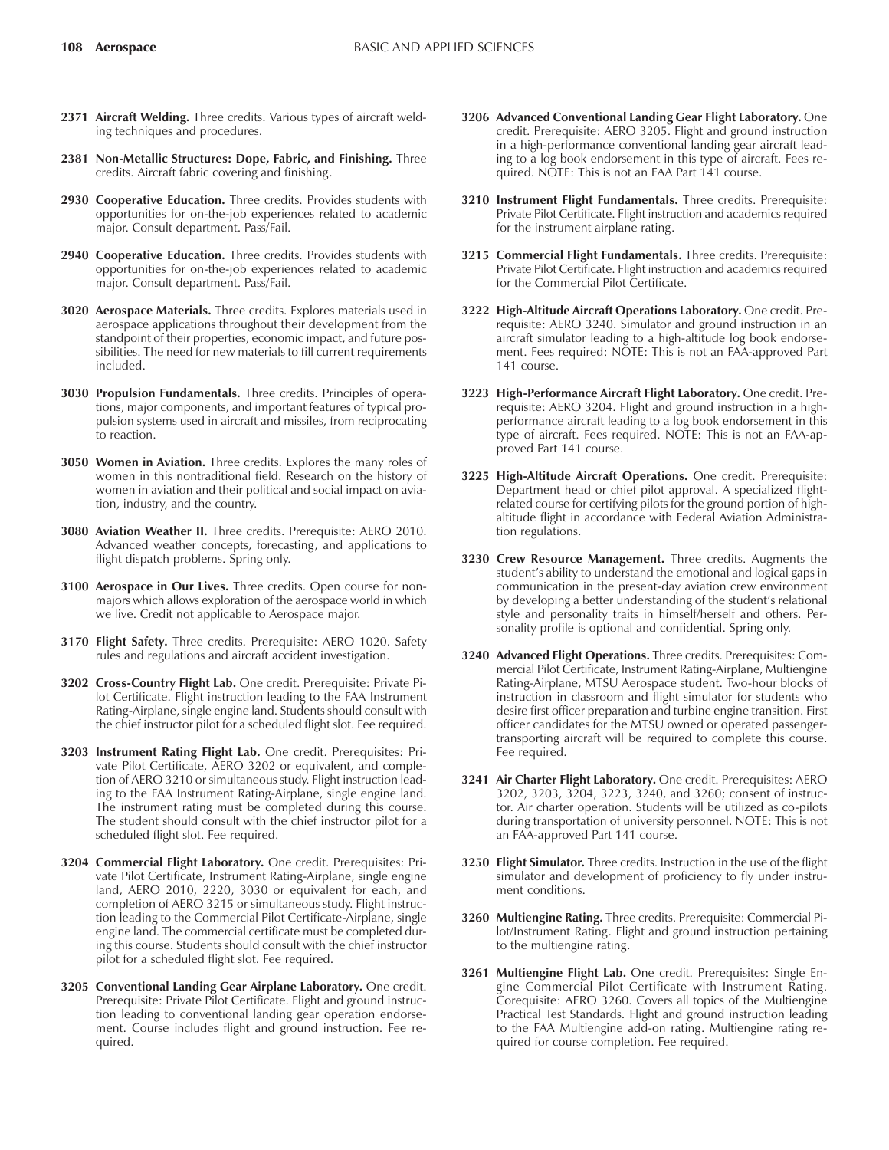- **2371 Aircraft Welding.** Three credits. Various types of aircraft welding techniques and procedures.
- **2381 Non-Metallic Structures: Dope, Fabric, and Finishing.** Three credits. Aircraft fabric covering and finishing.
- **2930 Cooperative Education.** Three credits. Provides students with opportunities for on-the-job experiences related to academic major. Consult department. Pass/Fail.
- **2940 Cooperative Education.** Three credits. Provides students with opportunities for on-the-job experiences related to academic major. Consult department. Pass/Fail.
- **3020 Aerospace Materials.** Three credits. Explores materials used in aerospace applications throughout their development from the standpoint of their properties, economic impact, and future possibilities. The need for new materials to fill current requirements included.
- **3030 Propulsion Fundamentals.** Three credits. Principles of operations, major components, and important features of typical propulsion systems used in aircraft and missiles, from reciprocating to reaction.
- **3050 Women in Aviation.** Three credits. Explores the many roles of women in this nontraditional field. Research on the history of women in aviation and their political and social impact on aviation, industry, and the country.
- **3080 Aviation Weather II.** Three credits. Prerequisite: AERO 2010. Advanced weather concepts, forecasting, and applications to flight dispatch problems. Spring only.
- **3100 Aerospace in Our Lives.** Three credits. Open course for nonmajors which allows exploration of the aerospace world in which we live. Credit not applicable to Aerospace major.
- **3170 Flight Safety.** Three credits. Prerequisite: AERO 1020. Safety rules and regulations and aircraft accident investigation.
- **3202 Cross-Country Flight Lab.** One credit. Prerequisite: Private Pilot Certificate. Flight instruction leading to the FAA Instrument Rating-Airplane, single engine land. Students should consult with the chief instructor pilot for a scheduled flight slot. Fee required.
- **3203 Instrument Rating Flight Lab.** One credit. Prerequisites: Private Pilot Certificate, AERO 3202 or equivalent, and completion of AERO 3210 or simultaneous study. Flight instruction leading to the FAA Instrument Rating-Airplane, single engine land. The instrument rating must be completed during this course. The student should consult with the chief instructor pilot for a scheduled flight slot. Fee required.
- **3204 Commercial Flight Laboratory.** One credit. Prerequisites: Private Pilot Certificate, Instrument Rating-Airplane, single engine land, AERO 2010, 2220, 3030 or equivalent for each, and completion of AERO 3215 or simultaneous study. Flight instruction leading to the Commercial Pilot Certificate-Airplane, single engine land. The commercial certificate must be completed during this course. Students should consult with the chief instructor pilot for a scheduled flight slot. Fee required.
- **3205 Conventional Landing Gear Airplane Laboratory.** One credit. Prerequisite: Private Pilot Certificate. Flight and ground instruction leading to conventional landing gear operation endorsement. Course includes flight and ground instruction. Fee required.
- **3206 Advanced Conventional Landing Gear Flight Laboratory.** One credit. Prerequisite: AERO 3205. Flight and ground instruction in a high-performance conventional landing gear aircraft leading to a log book endorsement in this type of aircraft. Fees required. NOTE: This is not an FAA Part 141 course.
- **3210 Instrument Flight Fundamentals.** Three credits. Prerequisite: Private Pilot Certificate. Flight instruction and academics required for the instrument airplane rating.
- **3215 Commercial Flight Fundamentals.** Three credits. Prerequisite: Private Pilot Certificate. Flight instruction and academics required for the Commercial Pilot Certificate.
- **3222 High-Altitude Aircraft Operations Laboratory.** One credit. Prerequisite: AERO 3240. Simulator and ground instruction in an aircraft simulator leading to a high-altitude log book endorsement. Fees required: NOTE: This is not an FAA-approved Part 141 course.
- **3223 High-Performance Aircraft Flight Laboratory.** One credit. Prerequisite: AERO 3204. Flight and ground instruction in a highperformance aircraft leading to a log book endorsement in this type of aircraft. Fees required. NOTE: This is not an FAA-approved Part 141 course.
- **3225 High-Altitude Aircraft Operations.** One credit. Prerequisite: Department head or chief pilot approval. A specialized flightrelated course for certifying pilots for the ground portion of highaltitude flight in accordance with Federal Aviation Administration regulations.
- **3230 Crew Resource Management.** Three credits. Augments the student's ability to understand the emotional and logical gaps in communication in the present-day aviation crew environment by developing a better understanding of the student's relational style and personality traits in himself/herself and others. Personality profile is optional and confidential. Spring only.
- **3240 Advanced Flight Operations.** Three credits. Prerequisites: Commercial Pilot Certificate, Instrument Rating-Airplane, Multiengine Rating-Airplane, MTSU Aerospace student. Two-hour blocks of instruction in classroom and flight simulator for students who desire first officer preparation and turbine engine transition. First officer candidates for the MTSU owned or operated passengertransporting aircraft will be required to complete this course. Fee required.
- **3241 Air Charter Flight Laboratory.** One credit. Prerequisites: AERO 3202, 3203, 3204, 3223, 3240, and 3260; consent of instructor. Air charter operation. Students will be utilized as co-pilots during transportation of university personnel. NOTE: This is not an FAA-approved Part 141 course.
- **3250 Flight Simulator.** Three credits. Instruction in the use of the flight simulator and development of proficiency to fly under instrument conditions.
- **3260 Multiengine Rating.** Three credits. Prerequisite: Commercial Pilot/Instrument Rating. Flight and ground instruction pertaining to the multiengine rating.
- **3261 Multiengine Flight Lab.** One credit. Prerequisites: Single Engine Commercial Pilot Certificate with Instrument Rating. Corequisite: AERO 3260. Covers all topics of the Multiengine Practical Test Standards. Flight and ground instruction leading to the FAA Multiengine add-on rating. Multiengine rating required for course completion. Fee required.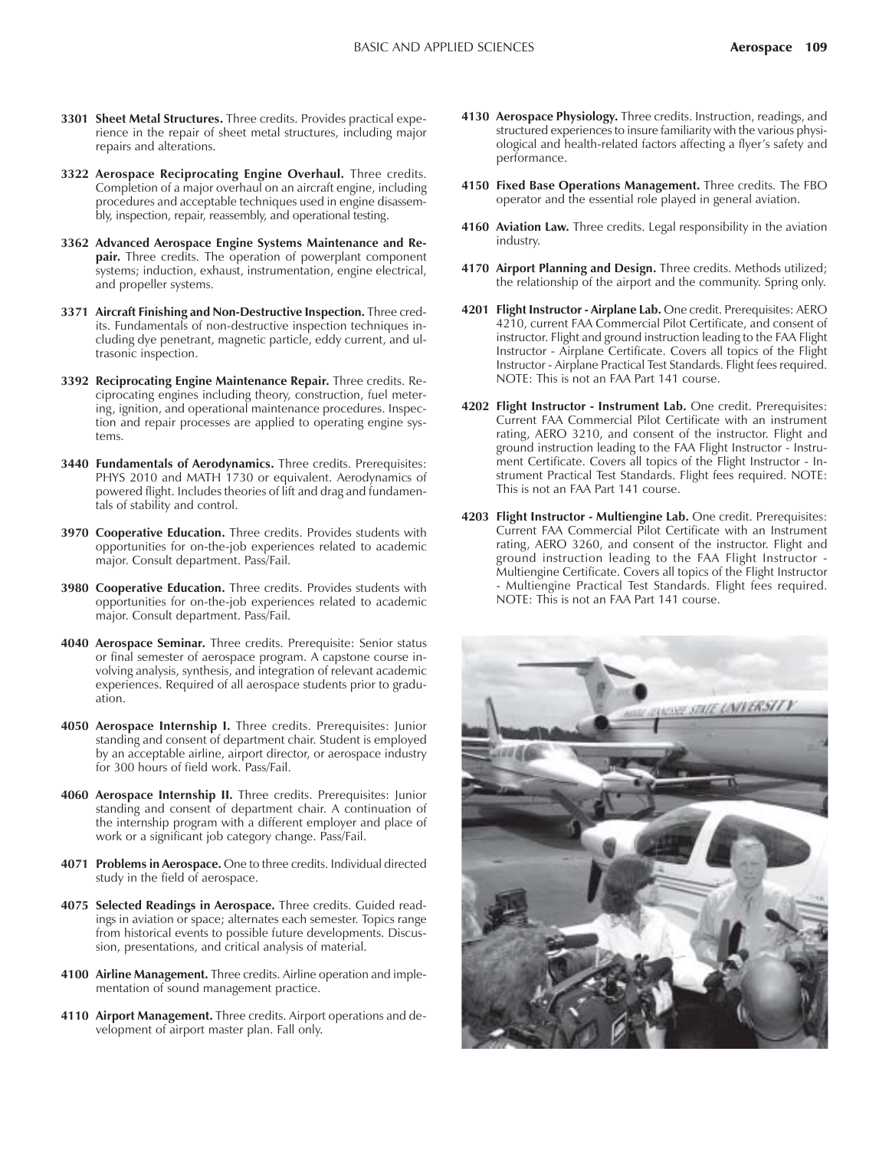- **3301 Sheet Metal Structures.** Three credits. Provides practical experience in the repair of sheet metal structures, including major repairs and alterations.
- **3322 Aerospace Reciprocating Engine Overhaul.** Three credits. Completion of a major overhaul on an aircraft engine, including procedures and acceptable techniques used in engine disassembly, inspection, repair, reassembly, and operational testing.
- **3362 Advanced Aerospace Engine Systems Maintenance and Repair.** Three credits. The operation of powerplant component systems; induction, exhaust, instrumentation, engine electrical, and propeller systems.
- **3371 Aircraft Finishing and Non-Destructive Inspection.** Three credits. Fundamentals of non-destructive inspection techniques including dye penetrant, magnetic particle, eddy current, and ultrasonic inspection.
- **3392 Reciprocating Engine Maintenance Repair.** Three credits. Reciprocating engines including theory, construction, fuel metering, ignition, and operational maintenance procedures. Inspection and repair processes are applied to operating engine systems.
- **3440 Fundamentals of Aerodynamics.** Three credits. Prerequisites: PHYS 2010 and MATH 1730 or equivalent. Aerodynamics of powered flight. Includes theories of lift and drag and fundamentals of stability and control.
- **3970 Cooperative Education.** Three credits. Provides students with opportunities for on-the-job experiences related to academic major. Consult department. Pass/Fail.
- **3980 Cooperative Education.** Three credits. Provides students with opportunities for on-the-job experiences related to academic major. Consult department. Pass/Fail.
- **4040 Aerospace Seminar.** Three credits. Prerequisite: Senior status or final semester of aerospace program. A capstone course involving analysis, synthesis, and integration of relevant academic experiences. Required of all aerospace students prior to graduation.
- **4050 Aerospace Internship I.** Three credits. Prerequisites: Junior standing and consent of department chair. Student is employed by an acceptable airline, airport director, or aerospace industry for 300 hours of field work. Pass/Fail.
- **4060 Aerospace Internship II.** Three credits. Prerequisites: Junior standing and consent of department chair. A continuation of the internship program with a different employer and place of work or a significant job category change. Pass/Fail.
- **4071 Problems in Aerospace.** One to three credits. Individual directed study in the field of aerospace.
- **4075 Selected Readings in Aerospace.** Three credits. Guided readings in aviation or space; alternates each semester. Topics range from historical events to possible future developments. Discussion, presentations, and critical analysis of material.
- **4100 Airline Management.** Three credits. Airline operation and implementation of sound management practice.
- **4110 Airport Management.** Three credits. Airport operations and development of airport master plan. Fall only.
- **4130 Aerospace Physiology.** Three credits. Instruction, readings, and structured experiences to insure familiarity with the various physiological and health-related factors affecting a flyer's safety and performance.
- **4150 Fixed Base Operations Management.** Three credits. The FBO operator and the essential role played in general aviation.
- **4160 Aviation Law.** Three credits. Legal responsibility in the aviation industry.
- **4170 Airport Planning and Design.** Three credits. Methods utilized; the relationship of the airport and the community. Spring only.
- **4201 Flight Instructor Airplane Lab.** One credit. Prerequisites: AERO 4210, current FAA Commercial Pilot Certificate, and consent of instructor. Flight and ground instruction leading to the FAA Flight Instructor - Airplane Certificate. Covers all topics of the Flight Instructor - Airplane Practical Test Standards. Flight fees required. NOTE: This is not an FAA Part 141 course.
- **4202 Flight Instructor Instrument Lab.** One credit. Prerequisites: Current FAA Commercial Pilot Certificate with an instrument rating, AERO 3210, and consent of the instructor. Flight and ground instruction leading to the FAA Flight Instructor - Instrument Certificate. Covers all topics of the Flight Instructor - Instrument Practical Test Standards. Flight fees required. NOTE: This is not an FAA Part 141 course.
- **4203 Flight Instructor Multiengine Lab.** One credit. Prerequisites: Current FAA Commercial Pilot Certificate with an Instrument rating, AERO 3260, and consent of the instructor. Flight and ground instruction leading to the FAA Flight Instructor - Multiengine Certificate. Covers all topics of the Flight Instructor - Multiengine Practical Test Standards. Flight fees required. NOTE: This is not an FAA Part 141 course.